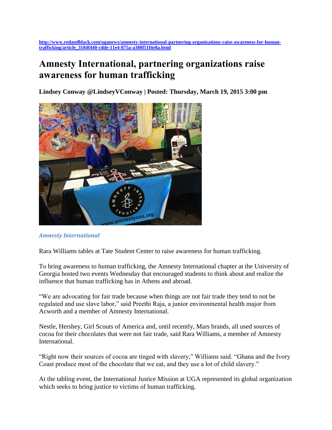## **Amnesty International, partnering organizations raise awareness for human trafficking**

**Lindsey Conway @LindseyVConway | Posted: Thursday, March 19, 2015 3:00 pm** 



*Amnesty International*

Rara Williams tables at Tate Student Center to raise awareness for human trafficking.

To bring awareness to human trafficking, the Amnesty International chapter at the University of Georgia hosted two events Wednesday that encouraged students to think about and realize the influence that human trafficking has in Athens and abroad.

"We are advocating for fair trade because when things are not fair trade they tend to not be regulated and use slave labor," said Preethi Raja, a junior environmental health major from Acworth and a member of Amnesty International.

Nestle, Hershey, Girl Scouts of America and, until recently, Mars brands, all used sources of cocoa for their chocolates that were not fair trade, said Rara Williams, a member of Amnesty International.

"Right now their sources of cocoa are tinged with slavery," Williams said. "Ghana and the Ivory Coast produce most of the chocolate that we eat, and they use a lot of child slavery."

At the tabling event, the International Justice Mission at UGA represented its global organization which seeks to bring justice to victims of human trafficking.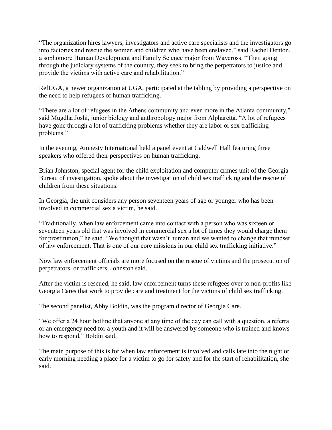"The organization hires lawyers, investigators and active care specialists and the investigators go into factories and rescue the women and children who have been enslaved," said Rachel Denton, a sophomore Human Development and Family Science major from Waycross. "Then going through the judiciary systems of the country, they seek to bring the perpetrators to justice and provide the victims with active care and rehabilitation."

RefUGA, a newer organization at UGA, participated at the tabling by providing a perspective on the need to help refugees of human trafficking.

"There are a lot of refugees in the Athens community and even more in the Atlanta community," said Mugdha Joshi, junior biology and anthropology major from Alpharetta. "A lot of refugees have gone through a lot of trafficking problems whether they are labor or sex trafficking problems."

In the evening, Amnesty International held a panel event at Caldwell Hall featuring three speakers who offered their perspectives on human trafficking.

Brian Johnston, special agent for the child exploitation and computer crimes unit of the Georgia Bureau of investigation, spoke about the investigation of child sex trafficking and the rescue of children from these situations.

In Georgia, the unit considers any person seventeen years of age or younger who has been involved in commercial sex a victim, he said.

"Traditionally, when law enforcement came into contact with a person who was sixteen or seventeen years old that was involved in commercial sex a lot of times they would charge them for prostitution," he said. "We thought that wasn't human and we wanted to change that mindset of law enforcement. That is one of our core missions in our child sex trafficking initiative."

Now law enforcement officials are more focused on the rescue of victims and the prosecution of perpetrators, or traffickers, Johnston said.

After the victim is rescued, he said, law enforcement turns these refugees over to non-profits like Georgia Cares that work to provide care and treatment for the victims of child sex trafficking.

The second panelist, Abby Boldin, was the program director of Georgia Care.

"We offer a 24 hour hotline that anyone at any time of the day can call with a question, a referral or an emergency need for a youth and it will be answered by someone who is trained and knows how to respond," Boldin said.

The main purpose of this is for when law enforcement is involved and calls late into the night or early morning needing a place for a victim to go for safety and for the start of rehabilitation, she said.